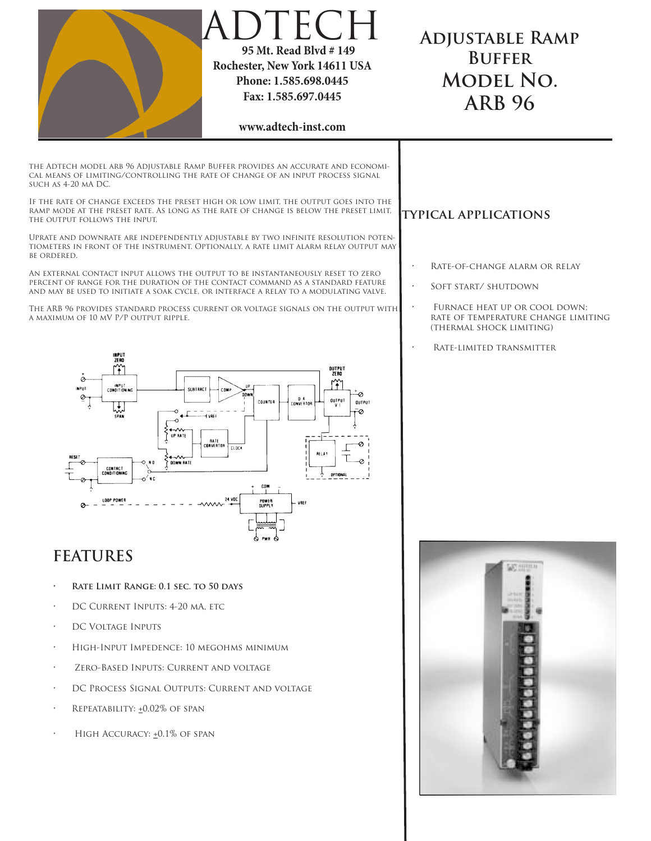

HIGH ACCURACY:  $+0.1\%$  OF SPAN